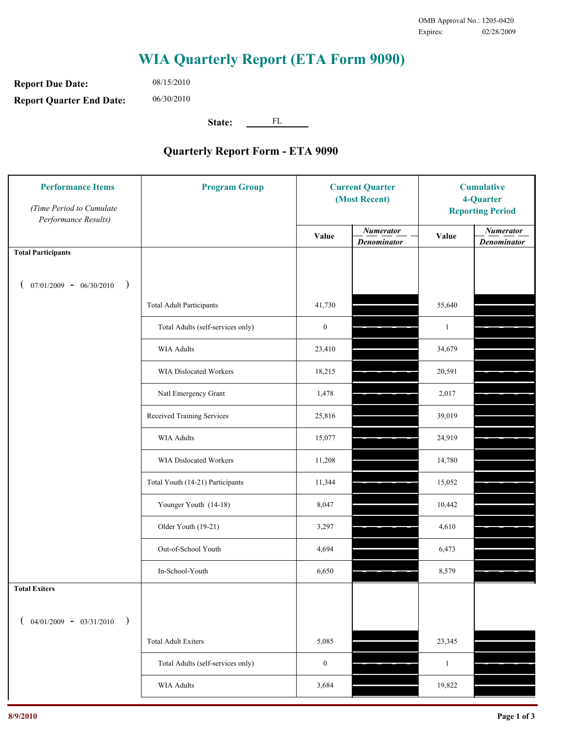## **WIA Quarterly Report (ETA Form 9090)**

**Report Due Date: Report Quarter End Date:** 06/30/2010

08/15/2010

**State:** FL

## **Quarterly Report Form - ETA 9090**

| <b>Performance Items</b><br>(Time Period to Cumulate<br>Performance Results) | <b>Program Group</b>              | <b>Current Quarter</b><br>(Most Recent) |                                        | <b>Cumulative</b><br>4-Quarter<br><b>Reporting Period</b> |                                        |
|------------------------------------------------------------------------------|-----------------------------------|-----------------------------------------|----------------------------------------|-----------------------------------------------------------|----------------------------------------|
|                                                                              |                                   | Value                                   | <b>Numerator</b><br><b>Denominator</b> | Value                                                     | <b>Numerator</b><br><b>Denominator</b> |
| <b>Total Participants</b>                                                    |                                   |                                         |                                        |                                                           |                                        |
| $07/01/2009 - 06/30/2010$<br>$\lambda$                                       |                                   |                                         |                                        |                                                           |                                        |
|                                                                              | <b>Total Adult Participants</b>   | 41,730                                  |                                        | 55,640                                                    |                                        |
|                                                                              | Total Adults (self-services only) | $\boldsymbol{0}$                        |                                        | $\mathbf{1}$                                              |                                        |
|                                                                              | WIA Adults                        | 23,410                                  |                                        | 34,679                                                    |                                        |
|                                                                              | WIA Dislocated Workers            | 18,215                                  |                                        | 20,591                                                    |                                        |
|                                                                              | Natl Emergency Grant              | 1,478                                   |                                        | 2,017                                                     |                                        |
|                                                                              | Received Training Services        | 25,816                                  |                                        | 39,019                                                    |                                        |
|                                                                              | <b>WIA Adults</b>                 | 15,077                                  |                                        | 24,919                                                    |                                        |
|                                                                              | WIA Dislocated Workers            | 11,208                                  |                                        | 14,780                                                    |                                        |
|                                                                              | Total Youth (14-21) Participants  | 11,344                                  |                                        | 15,052                                                    |                                        |
|                                                                              | Younger Youth (14-18)             | 8,047                                   |                                        | 10,442                                                    |                                        |
|                                                                              | Older Youth (19-21)               | 3,297                                   |                                        | 4,610                                                     |                                        |
|                                                                              | Out-of-School Youth               | 4,694                                   |                                        | 6,473                                                     |                                        |
|                                                                              | In-School-Youth                   | 6,650                                   |                                        | 8,579                                                     |                                        |
| <b>Total Exiters</b>                                                         |                                   |                                         |                                        |                                                           |                                        |
| $04/01/2009 - 03/31/2010$<br>$\lambda$                                       |                                   |                                         |                                        |                                                           |                                        |
|                                                                              | <b>Total Adult Exiters</b>        | 5,085                                   |                                        | 23,345                                                    |                                        |
|                                                                              | Total Adults (self-services only) | $\boldsymbol{0}$                        |                                        | $\mathbf{1}$                                              |                                        |
|                                                                              | <b>WIA Adults</b>                 | 3,684                                   |                                        | 19,822                                                    |                                        |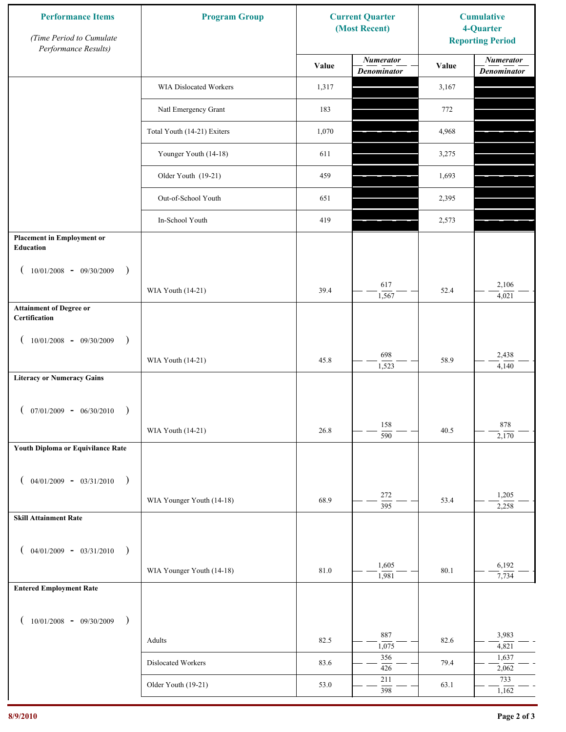| <b>Performance Items</b><br>(Time Period to Cumulate<br>Performance Results) | <b>Program Group</b>          | <b>Current Quarter</b><br>(Most Recent) |                                        | <b>Cumulative</b><br>4-Quarter<br><b>Reporting Period</b> |                                        |
|------------------------------------------------------------------------------|-------------------------------|-----------------------------------------|----------------------------------------|-----------------------------------------------------------|----------------------------------------|
|                                                                              |                               | Value                                   | <b>Numerator</b><br><b>Denominator</b> | Value                                                     | <b>Numerator</b><br><b>Denominator</b> |
|                                                                              | <b>WIA Dislocated Workers</b> | 1,317                                   |                                        | 3,167                                                     |                                        |
|                                                                              | Natl Emergency Grant          | 183                                     |                                        | 772                                                       |                                        |
|                                                                              | Total Youth (14-21) Exiters   | 1,070                                   |                                        | 4,968                                                     |                                        |
|                                                                              | Younger Youth (14-18)         | 611                                     |                                        | 3,275                                                     |                                        |
|                                                                              | Older Youth (19-21)           | 459                                     |                                        | 1,693                                                     |                                        |
|                                                                              | Out-of-School Youth           | 651                                     |                                        | 2,395                                                     |                                        |
|                                                                              | In-School Youth               | 419                                     |                                        | 2,573                                                     |                                        |
| <b>Placement in Employment or</b><br>Education                               |                               |                                         |                                        |                                                           |                                        |
| $10/01/2008 - 09/30/2009$<br>$\big)$                                         |                               |                                         |                                        |                                                           |                                        |
|                                                                              | WIA Youth (14-21)             | 39.4                                    | 617<br>1,567                           | 52.4                                                      | 2,106<br>4,021                         |
| <b>Attainment of Degree or</b><br>Certification                              |                               |                                         |                                        |                                                           |                                        |
| $10/01/2008$ - 09/30/2009<br>$\rightarrow$                                   |                               |                                         |                                        |                                                           |                                        |
|                                                                              | WIA Youth (14-21)             | 45.8                                    | 698<br>1,523                           | 58.9                                                      | 2,438<br>4,140                         |
| <b>Literacy or Numeracy Gains</b>                                            |                               |                                         |                                        |                                                           |                                        |
| $07/01/2009 - 06/30/2010$<br>$\overline{\phantom{a}}$                        |                               |                                         |                                        |                                                           |                                        |
|                                                                              | WIA Youth (14-21)             | 26.8                                    | 158<br>$\overline{590}$                | 40.5                                                      | $878\,$<br>2,170                       |
| Youth Diploma or Equivilance Rate                                            |                               |                                         |                                        |                                                           |                                        |
| $04/01/2009 - 03/31/2010$<br>$\overline{\phantom{a}}$                        |                               |                                         |                                        |                                                           |                                        |
|                                                                              | WIA Younger Youth (14-18)     | 68.9                                    | 272                                    | 53.4                                                      | 1,205                                  |
| <b>Skill Attainment Rate</b>                                                 |                               |                                         | $\overline{395}$                       |                                                           | 2,258                                  |
|                                                                              |                               |                                         |                                        |                                                           |                                        |
| $04/01/2009 - 03/31/2010$ )                                                  | WIA Younger Youth (14-18)     | 81.0                                    | 1,605                                  | 80.1                                                      | 6,192                                  |
| <b>Entered Employment Rate</b>                                               |                               |                                         | 1,981                                  |                                                           | 7,734                                  |
|                                                                              |                               |                                         |                                        |                                                           |                                        |
| $10/01/2008$ - 09/30/2009<br>$\rightarrow$                                   |                               |                                         | 887                                    |                                                           | 3,983                                  |
|                                                                              | Adults                        | 82.5                                    | 1,075<br>356                           | 82.6                                                      | 4,821<br>1,637                         |
|                                                                              | Dislocated Workers            | 83.6                                    | 426                                    | 79.4                                                      | 2,062                                  |
|                                                                              | Older Youth (19-21)           | 53.0                                    | 211<br>398                             | 63.1                                                      | 733<br>1,162                           |